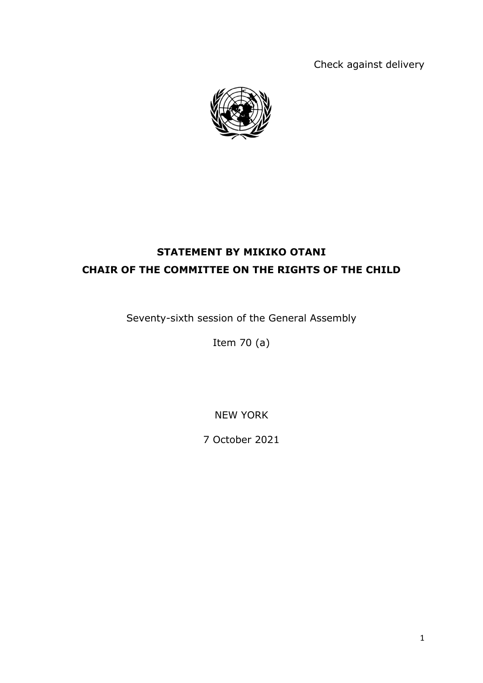Check against delivery



## **STATEMENT BY MIKIKO OTANI CHAIR OF THE COMMITTEE ON THE RIGHTS OF THE CHILD**

Seventy-sixth session of the General Assembly

Item 70 (a)

NEW YORK

7 October 2021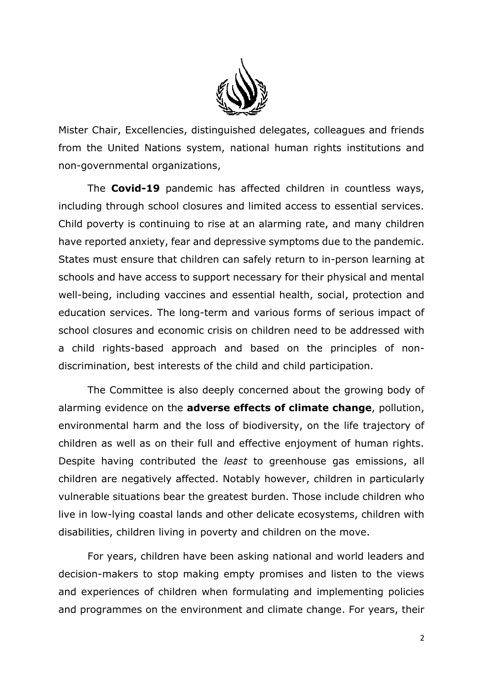

Mister Chair, Excellencies, distinguished delegates, colleagues and friends from the United Nations system, national human rights institutions and non-governmental organizations,

The **Covid-19** pandemic has affected children in countless ways, including through school closures and limited access to essential services. Child poverty is continuing to rise at an alarming rate, and many children have reported anxiety, fear and depressive symptoms due to the pandemic. States must ensure that children can safely return to in-person learning at schools and have access to support necessary for their physical and mental well-being, including vaccines and essential health, social, protection and education services. The long-term and various forms of serious impact of school closures and economic crisis on children need to be addressed with a child rights-based approach and based on the principles of nondiscrimination, best interests of the child and child participation.

The Committee is also deeply concerned about the growing body of alarming evidence on the **adverse effects of climate change**, pollution, environmental harm and the loss of biodiversity, on the life trajectory of children as well as on their full and effective enjoyment of human rights. Despite having contributed the *least* to greenhouse gas emissions, all children are negatively affected. Notably however, children in particularly vulnerable situations bear the greatest burden. Those include children who live in low-lying coastal lands and other delicate ecosystems, children with disabilities, children living in poverty and children on the move.

For years, children have been asking national and world leaders and decision-makers to stop making empty promises and listen to the views and experiences of children when formulating and implementing policies and programmes on the environment and climate change. For years, their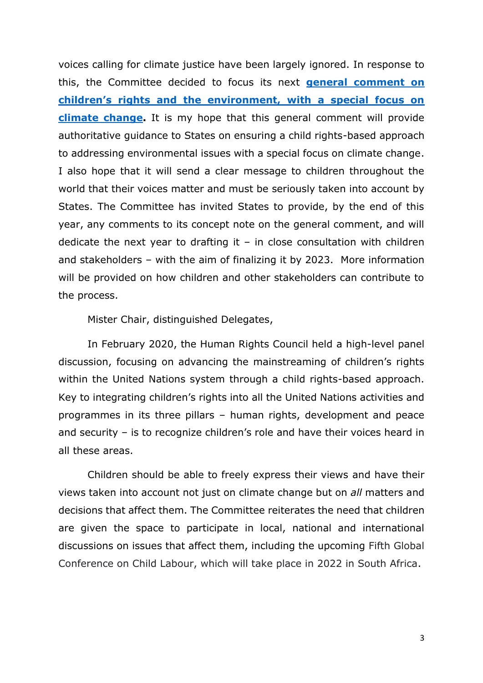voices calling for climate justice have been largely ignored. In response to this, the Committee decided to focus its next **[general comment on](https://www.ohchr.org/EN/HRBodies/CRC/Pages/GC26-Environment.aspx)  children['s rights and the environment, with a special focus on](https://www.ohchr.org/EN/HRBodies/CRC/Pages/GC26-Environment.aspx)  [climate change.](https://www.ohchr.org/EN/HRBodies/CRC/Pages/GC26-Environment.aspx)** It is my hope that this general comment will provide authoritative guidance to States on ensuring a child rights-based approach to addressing environmental issues with a special focus on climate change. I also hope that it will send a clear message to children throughout the world that their voices matter and must be seriously taken into account by States. The Committee has invited States to provide, by the end of this year, any comments to its concept note on the general comment, and will dedicate the next year to drafting it – in close consultation with children and stakeholders – with the aim of finalizing it by 2023. More information will be provided on how children and other stakeholders can contribute to the process.

Mister Chair, distinguished Delegates,

In February 2020, the Human Rights Council held a high-level panel discussion, focusing on advancing the mainstreaming of children's rights within the United Nations system through a child rights-based approach. Key to integrating children's rights into all the United Nations activities and programmes in its three pillars – human rights, development and peace and security – is to recognize children's role and have their voices heard in all these areas.

Children should be able to freely express their views and have their views taken into account not just on climate change but on *all* matters and decisions that affect them. The Committee reiterates the need that children are given the space to participate in local, national and international discussions on issues that affect them, including the upcoming Fifth Global Conference on Child Labour, which will take place in 2022 in South Africa.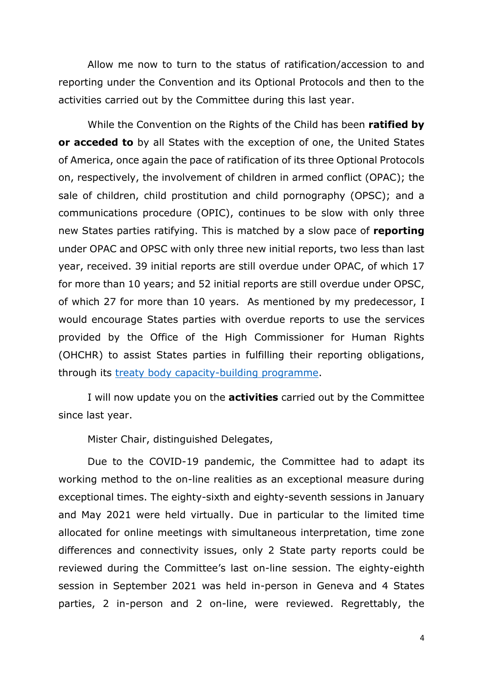Allow me now to turn to the status of ratification/accession to and reporting under the Convention and its Optional Protocols and then to the activities carried out by the Committee during this last year.

While the Convention on the Rights of the Child has been **ratified by or acceded to** by all States with the exception of one, the United States of America, once again the pace of ratification of its three Optional Protocols on, respectively, the involvement of children in armed conflict (OPAC); the sale of children, child prostitution and child pornography (OPSC); and a communications procedure (OPIC), continues to be slow with only three new States parties ratifying. This is matched by a slow pace of **reporting** under OPAC and OPSC with only three new initial reports, two less than last year, received. 39 initial reports are still overdue under OPAC, of which 17 for more than 10 years; and 52 initial reports are still overdue under OPSC, of which 27 for more than 10 years. As mentioned by my predecessor, I would encourage States parties with overdue reports to use the services provided by the Office of the High Commissioner for Human Rights (OHCHR) to assist States parties in fulfilling their reporting obligations, through its [treaty body capacity-building programme.](https://www.ohchr.org/EN/HRBodies/Pages/TBCapacityBuilding.aspx)

I will now update you on the **activities** carried out by the Committee since last year.

Mister Chair, distinguished Delegates,

Due to the COVID-19 pandemic, the Committee had to adapt its working method to the on-line realities as an exceptional measure during exceptional times. The eighty-sixth and eighty-seventh sessions in January and May 2021 were held virtually. Due in particular to the limited time allocated for online meetings with simultaneous interpretation, time zone differences and connectivity issues, only 2 State party reports could be reviewed during the Committee's last on-line session. The eighty-eighth session in September 2021 was held in-person in Geneva and 4 States parties, 2 in-person and 2 on-line, were reviewed. Regrettably, the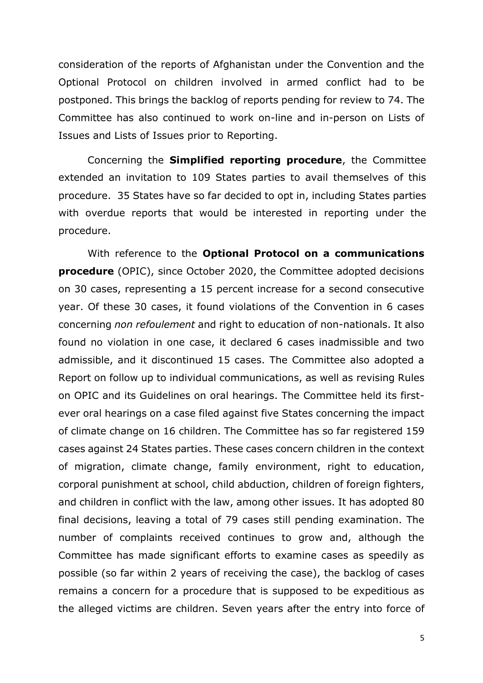consideration of the reports of Afghanistan under the Convention and the Optional Protocol on children involved in armed conflict had to be postponed. This brings the backlog of reports pending for review to 74. The Committee has also continued to work on-line and in-person on Lists of Issues and Lists of Issues prior to Reporting.

Concerning the **Simplified reporting procedure**, the Committee extended an invitation to 109 States parties to avail themselves of this procedure. 35 States have so far decided to opt in, including States parties with overdue reports that would be interested in reporting under the procedure.

With reference to the **Optional Protocol on a communications procedure** (OPIC), since October 2020, the Committee adopted decisions on 30 cases, representing a 15 percent increase for a second consecutive year. Of these 30 cases, it found violations of the Convention in 6 cases concerning *non refoulement* and right to education of non-nationals. It also found no violation in one case, it declared 6 cases inadmissible and two admissible, and it discontinued 15 cases. The Committee also adopted a Report on follow up to individual communications, as well as revising Rules on OPIC and its Guidelines on oral hearings. The Committee held its firstever oral hearings on a case filed against five States concerning the impact of climate change on 16 children. The Committee has so far registered 159 cases against 24 States parties. These cases concern children in the context of migration, climate change, family environment, right to education, corporal punishment at school, child abduction, children of foreign fighters, and children in conflict with the law, among other issues. It has adopted 80 final decisions, leaving a total of 79 cases still pending examination. The number of complaints received continues to grow and, although the Committee has made significant efforts to examine cases as speedily as possible (so far within 2 years of receiving the case), the backlog of cases remains a concern for a procedure that is supposed to be expeditious as the alleged victims are children. Seven years after the entry into force of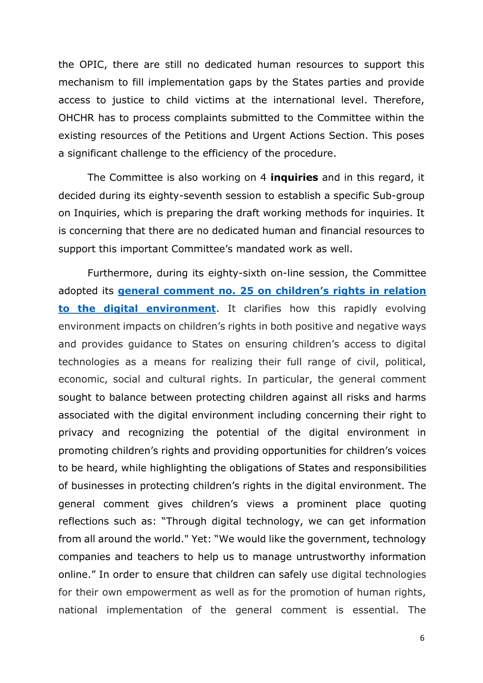the OPIC, there are still no dedicated human resources to support this mechanism to fill implementation gaps by the States parties and provide access to justice to child victims at the international level. Therefore, OHCHR has to process complaints submitted to the Committee within the existing resources of the Petitions and Urgent Actions Section. This poses a significant challenge to the efficiency of the procedure.

The Committee is also working on 4 **inquiries** and in this regard, it decided during its eighty-seventh session to establish a specific Sub-group on Inquiries, which is preparing the draft working methods for inquiries. It is concerning that there are no dedicated human and financial resources to support this important Committee's mandated work as well.

Furthermore, during its eighty-sixth on-line session, the Committee adopted its **general comment no. 25 [on children's rights in relation](https://www.ohchr.org/EN/HRBodies/CRC/Pages/GCChildrensRightsRelationDigitalEnvironment.aspx)  [to the digital environment](https://www.ohchr.org/EN/HRBodies/CRC/Pages/GCChildrensRightsRelationDigitalEnvironment.aspx)**. It clarifies how this rapidly evolving environment impacts on children's rights in both positive and negative ways and provides guidance to States on ensuring children's access to digital technologies as a means for realizing their full range of civil, political, economic, social and cultural rights. In particular, the general comment sought to balance between protecting children against all risks and harms associated with the digital environment including concerning their right to privacy and recognizing the potential of the digital environment in promoting children's rights and providing opportunities for children's voices to be heard, while highlighting the obligations of States and responsibilities of businesses in protecting children's rights in the digital environment. The general comment gives children's views a prominent place quoting reflections such as: "Through digital technology, we can get information from all around the world." Yet: "We would like the government, technology companies and teachers to help us to manage untrustworthy information online." In order to ensure that children can safely use digital technologies for their own empowerment as well as for the promotion of human rights, national implementation of the general comment is essential. The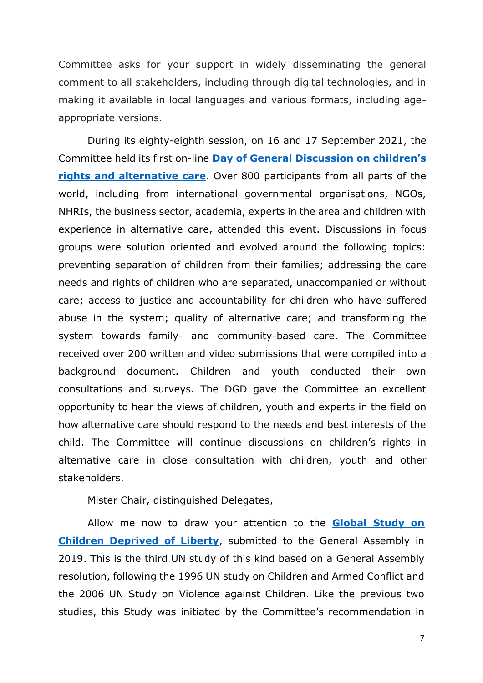Committee asks for your support in widely disseminating the general comment to all stakeholders, including through digital technologies, and in making it available in local languages and various formats, including ageappropriate versions.

During its eighty-eighth session, on 16 and 17 September 2021, the Committee held its first on-line **[Day of General Discussion](https://www.ohchr.org/EN/HRBodies/CRC/Pages/Discussion2020.aspx) on children's [rights and alternative care](https://www.ohchr.org/EN/HRBodies/CRC/Pages/Discussion2020.aspx)**. Over 800 participants from all parts of the world, including from international governmental organisations, NGOs, NHRIs, the business sector, academia, experts in the area and children with experience in alternative care, attended this event. Discussions in focus groups were solution oriented and evolved around the following topics: preventing separation of children from their families; addressing the care needs and rights of children who are separated, unaccompanied or without care; access to justice and accountability for children who have suffered abuse in the system; quality of alternative care; and transforming the system towards family- and community-based care. The Committee received over 200 written and video submissions that were compiled into a background document. Children and youth conducted their own consultations and surveys. The DGD gave the Committee an excellent opportunity to hear the views of children, youth and experts in the field on how alternative care should respond to the needs and best interests of the child. The Committee will continue discussions on children's rights in alternative care in close consultation with children, youth and other stakeholders.

Mister Chair, distinguished Delegates,

Allow me now to draw your attention to the **[Global Study on](https://undocs.org/A/74/136)  [Children Deprived of Liberty](https://undocs.org/A/74/136)**, submitted to the General Assembly in 2019. This is the third UN study of this kind based on a General Assembly resolution, following the 1996 UN study on Children and Armed Conflict and the 2006 UN Study on Violence against Children. Like the previous two studies, this Study was initiated by the Committee's recommendation in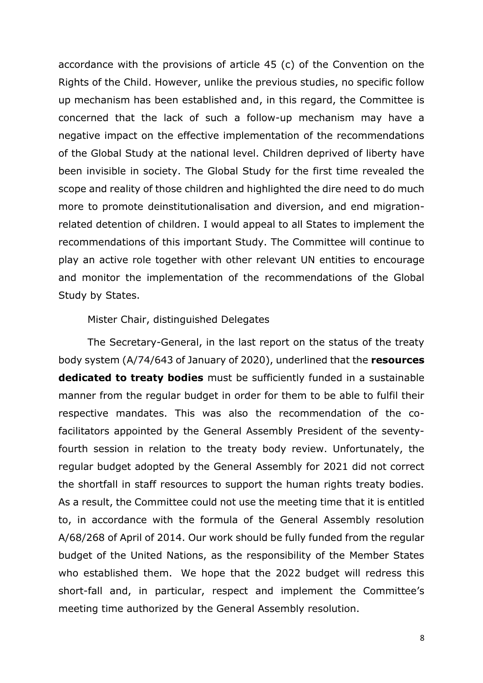accordance with the provisions of article 45 (c) of the Convention on the Rights of the Child. However, unlike the previous studies, no specific follow up mechanism has been established and, in this regard, the Committee is concerned that the lack of such a follow-up mechanism may have a negative impact on the effective implementation of the recommendations of the Global Study at the national level. Children deprived of liberty have been invisible in society. The Global Study for the first time revealed the scope and reality of those children and highlighted the dire need to do much more to promote deinstitutionalisation and diversion, and end migrationrelated detention of children. I would appeal to all States to implement the recommendations of this important Study. The Committee will continue to play an active role together with other relevant UN entities to encourage and monitor the implementation of the recommendations of the Global Study by States.

## Mister Chair, distinguished Delegates

The Secretary-General, in the last report on the status of the treaty body system (A/74/643 of January of 2020), underlined that the **resources dedicated to treaty bodies** must be sufficiently funded in a sustainable manner from the regular budget in order for them to be able to fulfil their respective mandates. This was also the recommendation of the cofacilitators appointed by the General Assembly President of the seventyfourth session in relation to the treaty body review. Unfortunately, the regular budget adopted by the General Assembly for 2021 did not correct the shortfall in staff resources to support the human rights treaty bodies. As a result, the Committee could not use the meeting time that it is entitled to, in accordance with the formula of the General Assembly resolution A/68/268 of April of 2014. Our work should be fully funded from the regular budget of the United Nations, as the responsibility of the Member States who established them. We hope that the 2022 budget will redress this short-fall and, in particular, respect and implement the Committee's meeting time authorized by the General Assembly resolution.